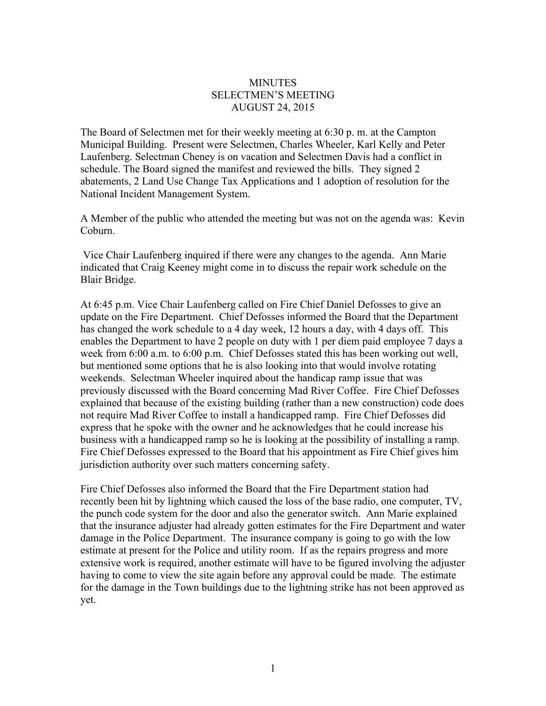## **MINUTES** SELECTMEN'S MEETING AUGUST 24, 2015

The Board of Selectmen met for their weekly meeting at 6:30 p. m. at the Campton Municipal Building. Present were Selectmen, Charles Wheeler, Karl Kelly and Peter Laufenberg. Selectman Cheney is on vacation and Selectmen Davis had a conflict in schedule. The Board signed the manifest and reviewed the bills. They signed 2 abatements, 2 Land Use Change Tax Applications and 1 adoption of resolution for the National Incident Management System.

A Member of the public who attended the meeting but was not on the agenda was: Kevin Coburn.

Vice Chair Laufenberg inquired if there were any changes to the agenda. Ann Marie indicated that Craig Keeney might come in to discuss the repair work schedule on the Blair Bridge.

At 6:45 p.m. Vice Chair Laufenberg called on Fire Chief Daniel Defosses to give an update on the Fire Department. Chief Defosses informed the Board that the Department has changed the work schedule to a 4 day week, 12 hours a day, with 4 days off. This enables the Department to have 2 people on duty with 1 per diem paid employee 7 days a week from 6:00 a.m. to 6:00 p.m. Chief Defosses stated this has been working out well, but mentioned some options that he is also looking into that would involve rotating weekends. Selectman Wheeler inquired about the handicap ramp issue that was previously discussed with the Board concerning Mad River Coffee. Fire Chief Defosses explained that because of the existing building (rather than a new construction) code does not require Mad River Coffee to install a handicapped ramp. Fire Chief Defosses did express that he spoke with the owner and he acknowledges that he could increase his business with a handicapped ramp so he is looking at the possibility of installing a ramp. Fire Chief Defosses expressed to the Board that his appointment as Fire Chief gives him jurisdiction authority over such matters concerning safety.

Fire Chief Defosses also informed the Board that the Fire Department station had recently been hit by lightning which caused the loss of the base radio, one computer, TV, the punch code system for the door and also the generator switch. Ann Marie explained that the insurance adjuster had already gotten estimates for the Fire Department and water damage in the Police Department. The insurance company is going to go with the low estimate at present for the Police and utility room. If as the repairs progress and more extensive work is required, another estimate will have to be figured involving the adjuster having to come to view the site again before any approval could be made. The estimate for the damage in the Town buildings due to the lightning strike has not been approved as yet.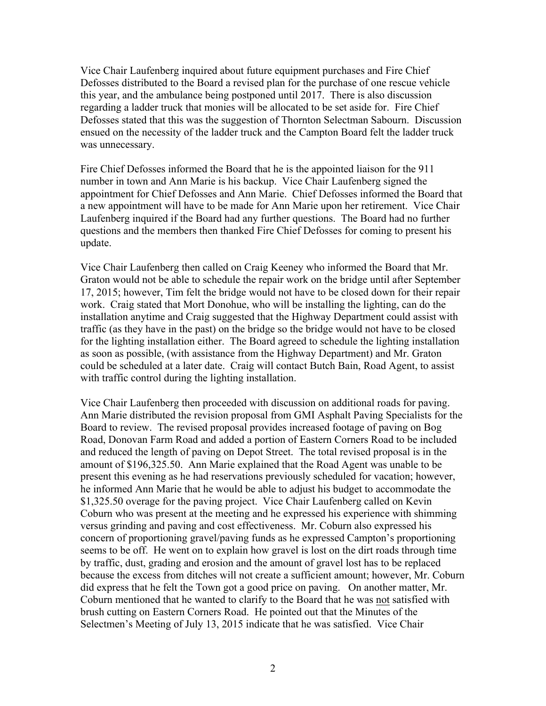Vice Chair Laufenberg inquired about future equipment purchases and Fire Chief Defosses distributed to the Board a revised plan for the purchase of one rescue vehicle this year, and the ambulance being postponed until 2017. There is also discussion regarding a ladder truck that monies will be allocated to be set aside for. Fire Chief Defosses stated that this was the suggestion of Thornton Selectman Sabourn. Discussion ensued on the necessity of the ladder truck and the Campton Board felt the ladder truck was unnecessary.

Fire Chief Defosses informed the Board that he is the appointed liaison for the 911 number in town and Ann Marie is his backup. Vice Chair Laufenberg signed the appointment for Chief Defosses and Ann Marie. Chief Defosses informed the Board that a new appointment will have to be made for Ann Marie upon her retirement. Vice Chair Laufenberg inquired if the Board had any further questions. The Board had no further questions and the members then thanked Fire Chief Defosses for coming to present his update.

Vice Chair Laufenberg then called on Craig Keeney who informed the Board that Mr. Graton would not be able to schedule the repair work on the bridge until after September 17, 2015; however, Tim felt the bridge would not have to be closed down for their repair work. Craig stated that Mort Donohue, who will be installing the lighting, can do the installation anytime and Craig suggested that the Highway Department could assist with traffic (as they have in the past) on the bridge so the bridge would not have to be closed for the lighting installation either. The Board agreed to schedule the lighting installation as soon as possible, (with assistance from the Highway Department) and Mr. Graton could be scheduled at a later date. Craig will contact Butch Bain, Road Agent, to assist with traffic control during the lighting installation.

Vice Chair Laufenberg then proceeded with discussion on additional roads for paving. Ann Marie distributed the revision proposal from GMI Asphalt Paving Specialists for the Board to review. The revised proposal provides increased footage of paving on Bog Road, Donovan Farm Road and added a portion of Eastern Corners Road to be included and reduced the length of paving on Depot Street. The total revised proposal is in the amount of \$196,325.50. Ann Marie explained that the Road Agent was unable to be present this evening as he had reservations previously scheduled for vacation; however, he informed Ann Marie that he would be able to adjust his budget to accommodate the \$1,325.50 overage for the paving project. Vice Chair Laufenberg called on Kevin Coburn who was present at the meeting and he expressed his experience with shimming versus grinding and paving and cost effectiveness. Mr. Coburn also expressed his concern of proportioning gravel/paving funds as he expressed Campton's proportioning seems to be off. He went on to explain how gravel is lost on the dirt roads through time by traffic, dust, grading and erosion and the amount of gravel lost has to be replaced because the excess from ditches will not create a sufficient amount; however, Mr. Coburn did express that he felt the Town got a good price on paving. On another matter, Mr. Coburn mentioned that he wanted to clarify to the Board that he was not satisfied with brush cutting on Eastern Corners Road. He pointed out that the Minutes of the Selectmen's Meeting of July 13, 2015 indicate that he was satisfied. Vice Chair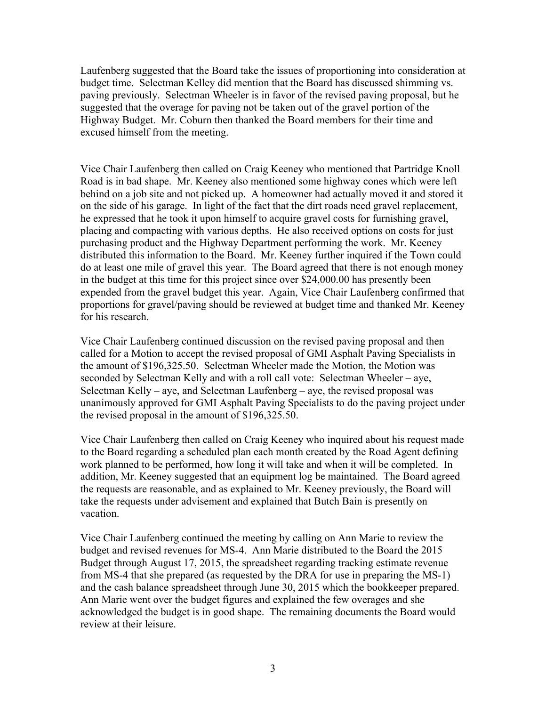Laufenberg suggested that the Board take the issues of proportioning into consideration at budget time. Selectman Kelley did mention that the Board has discussed shimming vs. paving previously. Selectman Wheeler is in favor of the revised paving proposal, but he suggested that the overage for paving not be taken out of the gravel portion of the Highway Budget. Mr. Coburn then thanked the Board members for their time and excused himself from the meeting.

Vice Chair Laufenberg then called on Craig Keeney who mentioned that Partridge Knoll Road is in bad shape. Mr. Keeney also mentioned some highway cones which were left behind on a job site and not picked up. A homeowner had actually moved it and stored it on the side of his garage. In light of the fact that the dirt roads need gravel replacement, he expressed that he took it upon himself to acquire gravel costs for furnishing gravel, placing and compacting with various depths. He also received options on costs for just purchasing product and the Highway Department performing the work. Mr. Keeney distributed this information to the Board. Mr. Keeney further inquired if the Town could do at least one mile of gravel this year. The Board agreed that there is not enough money in the budget at this time for this project since over \$24,000.00 has presently been expended from the gravel budget this year. Again, Vice Chair Laufenberg confirmed that proportions for gravel/paving should be reviewed at budget time and thanked Mr. Keeney for his research.

Vice Chair Laufenberg continued discussion on the revised paving proposal and then called for a Motion to accept the revised proposal of GMI Asphalt Paving Specialists in the amount of \$196,325.50. Selectman Wheeler made the Motion, the Motion was seconded by Selectman Kelly and with a roll call vote: Selectman Wheeler – aye, Selectman Kelly – aye, and Selectman Laufenberg – aye, the revised proposal was unanimously approved for GMI Asphalt Paving Specialists to do the paving project under the revised proposal in the amount of \$196,325.50.

Vice Chair Laufenberg then called on Craig Keeney who inquired about his request made to the Board regarding a scheduled plan each month created by the Road Agent defining work planned to be performed, how long it will take and when it will be completed. In addition, Mr. Keeney suggested that an equipment log be maintained. The Board agreed the requests are reasonable, and as explained to Mr. Keeney previously, the Board will take the requests under advisement and explained that Butch Bain is presently on vacation.

Vice Chair Laufenberg continued the meeting by calling on Ann Marie to review the budget and revised revenues for MS-4. Ann Marie distributed to the Board the 2015 Budget through August 17, 2015, the spreadsheet regarding tracking estimate revenue from MS-4 that she prepared (as requested by the DRA for use in preparing the MS-1) and the cash balance spreadsheet through June 30, 2015 which the bookkeeper prepared. Ann Marie went over the budget figures and explained the few overages and she acknowledged the budget is in good shape. The remaining documents the Board would review at their leisure.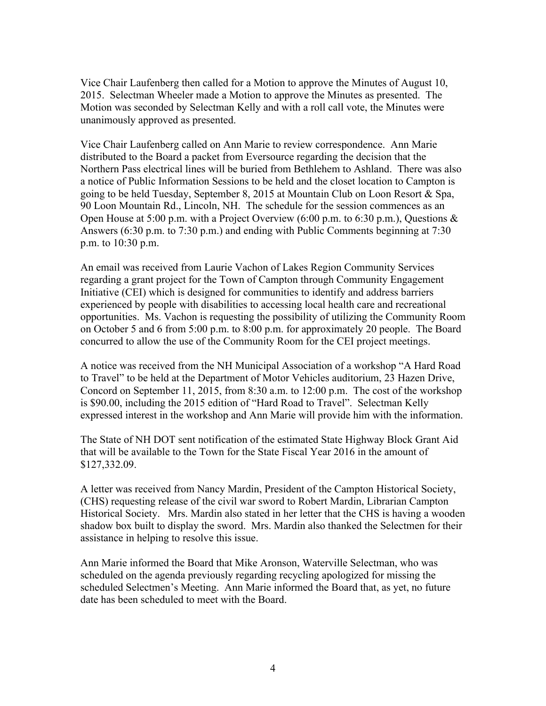Vice Chair Laufenberg then called for a Motion to approve the Minutes of August 10, 2015. Selectman Wheeler made a Motion to approve the Minutes as presented. The Motion was seconded by Selectman Kelly and with a roll call vote, the Minutes were unanimously approved as presented.

Vice Chair Laufenberg called on Ann Marie to review correspondence. Ann Marie distributed to the Board a packet from Eversource regarding the decision that the Northern Pass electrical lines will be buried from Bethlehem to Ashland. There was also a notice of Public Information Sessions to be held and the closet location to Campton is going to be held Tuesday, September 8, 2015 at Mountain Club on Loon Resort & Spa, 90 Loon Mountain Rd., Lincoln, NH. The schedule for the session commences as an Open House at 5:00 p.m. with a Project Overview (6:00 p.m. to 6:30 p.m.), Questions & Answers (6:30 p.m. to 7:30 p.m.) and ending with Public Comments beginning at 7:30 p.m. to 10:30 p.m.

An email was received from Laurie Vachon of Lakes Region Community Services regarding a grant project for the Town of Campton through Community Engagement Initiative (CEI) which is designed for communities to identify and address barriers experienced by people with disabilities to accessing local health care and recreational opportunities. Ms. Vachon is requesting the possibility of utilizing the Community Room on October 5 and 6 from 5:00 p.m. to 8:00 p.m. for approximately 20 people. The Board concurred to allow the use of the Community Room for the CEI project meetings.

A notice was received from the NH Municipal Association of a workshop "A Hard Road to Travel" to be held at the Department of Motor Vehicles auditorium, 23 Hazen Drive, Concord on September 11, 2015, from 8:30 a.m. to 12:00 p.m. The cost of the workshop is \$90.00, including the 2015 edition of "Hard Road to Travel". Selectman Kelly expressed interest in the workshop and Ann Marie will provide him with the information.

The State of NH DOT sent notification of the estimated State Highway Block Grant Aid that will be available to the Town for the State Fiscal Year 2016 in the amount of \$127,332.09.

A letter was received from Nancy Mardin, President of the Campton Historical Society, (CHS) requesting release of the civil war sword to Robert Mardin, Librarian Campton Historical Society. Mrs. Mardin also stated in her letter that the CHS is having a wooden shadow box built to display the sword. Mrs. Mardin also thanked the Selectmen for their assistance in helping to resolve this issue.

Ann Marie informed the Board that Mike Aronson, Waterville Selectman, who was scheduled on the agenda previously regarding recycling apologized for missing the scheduled Selectmen's Meeting. Ann Marie informed the Board that, as yet, no future date has been scheduled to meet with the Board.